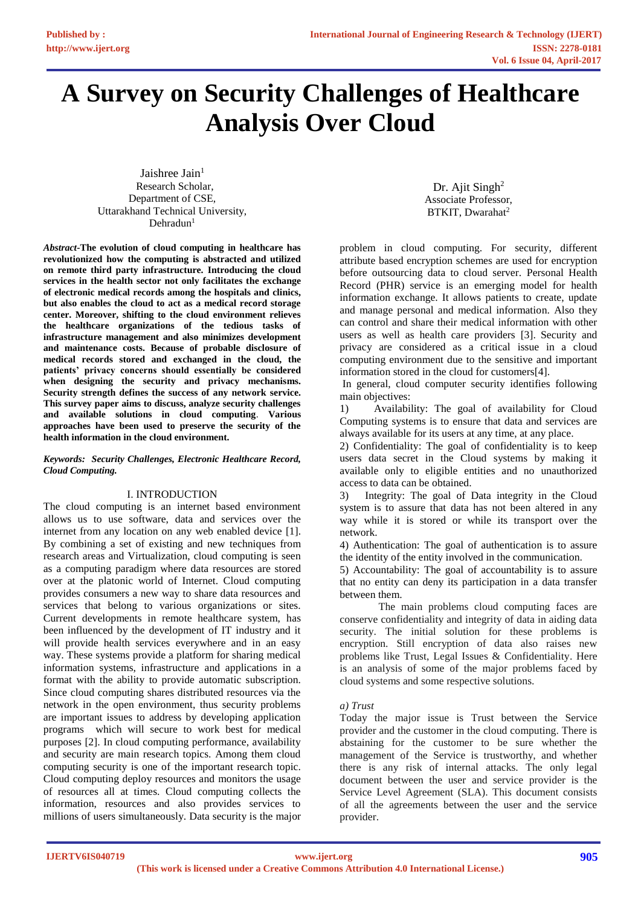# **A Survey on Security Challenges of Healthcare Analysis Over Cloud**

Jaishree Jain $1$  Research Scholar, Department of CSE, Uttarakhand Technical University,  $Dehradun<sup>1</sup>$ 

*Abstract-***The evolution of cloud computing in healthcare has revolutionized how the computing is abstracted and utilized on remote third party infrastructure. Introducing the cloud services in the health sector not only facilitates the exchange of electronic medical records among the hospitals and clinics, but also enables the cloud to act as a medical record storage center. Moreover, shifting to the cloud environment relieves the healthcare organizations of the tedious tasks of infrastructure management and also minimizes development and maintenance costs. Because of probable disclosure of medical records stored and exchanged in the cloud, the patients' privacy concerns should essentially be considered when designing the security and privacy mechanisms. Security strength defines the success of any network service. This survey paper aims to discuss, analyze security challenges and available solutions in cloud computing**. **Various approaches have been used to preserve the security of the health information in the cloud environment.**

### *Keywords: Security Challenges, Electronic Healthcare Record, Cloud Computing.*

## I. INTRODUCTION

The cloud computing is an internet based environment allows us to use software, data and services over the internet from any location on any web enabled device [1]. By combining a set of existing and new techniques from research areas and Virtualization, cloud computing is seen as a computing paradigm where data resources are stored over at the platonic world of Internet. Cloud computing provides consumers a new way to share data resources and services that belong to various organizations or sites. Current developments in remote healthcare system, has been influenced by the development of IT industry and it will provide health services everywhere and in an easy way. These systems provide a platform for sharing medical information systems, infrastructure and applications in a format with the ability to provide automatic subscription. Since cloud computing shares distributed resources via the network in the open environment, thus security problems are important issues to address by developing application programs which will secure to work best for medical purposes [2]. In cloud computing performance, availability and security are main research topics. Among them cloud computing security is one of the important research topic. Cloud computing deploy resources and monitors the usage of resources all at times. Cloud computing collects the information, resources and also provides services to millions of users simultaneously. Data security is the major

Dr. Ajit Singh<sup>2</sup> Associate Professor, BTKIT, Dwarahat<sup>2</sup>

problem in cloud computing. For security, different attribute based encryption schemes are used for encryption before outsourcing data to cloud server. Personal Health Record (PHR) service is an emerging model for health information exchange. It allows patients to create, update and manage personal and medical information. Also they can control and share their medical information with other users as well as health care providers [3]. Security and privacy are considered as a critical issue in a cloud computing environment due to the sensitive and important information stored in the cloud for customers[4].

In general, cloud computer security identifies following main objectives:

1) Availability: The goal of availability for Cloud Computing systems is to ensure that data and services are always available for its users at any time, at any place.

2) Confidentiality: The goal of confidentiality is to keep users data secret in the Cloud systems by making it available only to eligible entities and no unauthorized access to data can be obtained.

3) Integrity: The goal of Data integrity in the Cloud system is to assure that data has not been altered in any way while it is stored or while its transport over the network.

4) Authentication: The goal of authentication is to assure the identity of the entity involved in the communication.

5) Accountability: The goal of accountability is to assure that no entity can deny its participation in a data transfer between them.

The main problems cloud computing faces are conserve confidentiality and integrity of data in aiding data security. The initial solution for these problems is encryption. Still encryption of data also raises new problems like Trust, Legal Issues & Confidentiality. Here is an analysis of some of the major problems faced by cloud systems and some respective solutions.

## *a) Trust*

Today the major issue is Trust between the Service provider and the customer in the cloud computing. There is abstaining for the customer to be sure whether the management of the Service is trustworthy, and whether there is any risk of internal attacks. The only legal document between the user and service provider is the Service Level Agreement (SLA). This document consists of all the agreements between the user and the service provider.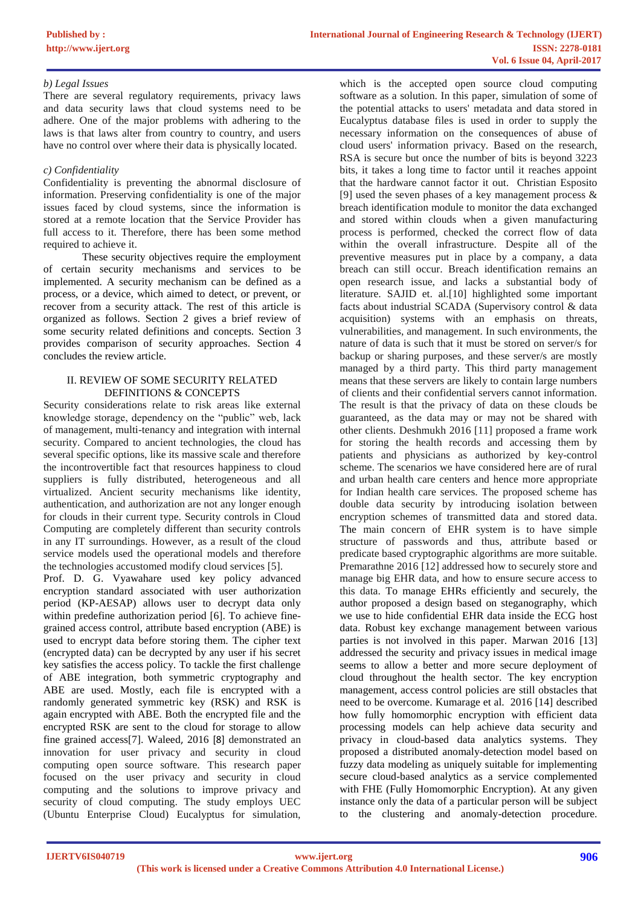## *b) Legal Issues*

There are several regulatory requirements, privacy laws and data security laws that cloud systems need to be adhere. One of the major problems with adhering to the laws is that laws alter from country to country, and users have no control over where their data is physically located.

## *c) Confidentiality*

Confidentiality is preventing the abnormal disclosure of information. Preserving confidentiality is one of the major issues faced by cloud systems, since the information is stored at a remote location that the Service Provider has full access to it. Therefore, there has been some method required to achieve it.

These security objectives require the employment of certain security mechanisms and services to be implemented. A security mechanism can be defined as a process, or a device, which aimed to detect, or prevent, or recover from a security attack. The rest of this article is organized as follows. Section 2 gives a brief review of some security related definitions and concepts. Section 3 provides comparison of security approaches. Section 4 concludes the review article.

#### II. REVIEW OF SOME SECURITY RELATED DEFINITIONS & CONCEPTS

Security considerations relate to risk areas like external knowledge storage, dependency on the "public" web, lack of management, multi-tenancy and integration with internal security. Compared to ancient technologies, the cloud has several specific options, like its massive scale and therefore the incontrovertible fact that resources happiness to cloud suppliers is fully distributed, heterogeneous and all virtualized. Ancient security mechanisms like identity, authentication, and authorization are not any longer enough for clouds in their current type. Security controls in Cloud Computing are completely different than security controls in any IT surroundings. However, as a result of the cloud service models used the operational models and therefore the technologies accustomed modify cloud services [5].

Prof. D. G. Vyawahare used key policy advanced encryption standard associated with user authorization period (KP-AESAP) allows user to decrypt data only within predefine authorization period [6]. To achieve finegrained access control, attribute based encryption (ABE) is used to encrypt data before storing them. The cipher text (encrypted data) can be decrypted by any user if his secret key satisfies the access policy. To tackle the first challenge of ABE integration, both symmetric cryptography and ABE are used. Mostly, each file is encrypted with a randomly generated symmetric key (RSK) and RSK is again encrypted with ABE. Both the encrypted file and the encrypted RSK are sent to the cloud for storage to allow fine grained access[7]. Waleed, 2016 [8] demonstrated an innovation for user privacy and security in cloud computing open source software. This research paper focused on the user privacy and security in cloud computing and the solutions to improve privacy and security of cloud computing. The study employs UEC (Ubuntu Enterprise Cloud) Eucalyptus for simulation,

which is the accepted open source cloud computing software as a solution. In this paper, simulation of some of the potential attacks to users' metadata and data stored in Eucalyptus database files is used in order to supply the necessary information on the consequences of abuse of cloud users' information privacy. Based on the research, RSA is secure but once the number of bits is beyond 3223 bits, it takes a long time to factor until it reaches appoint that the hardware cannot factor it out. Christian Esposito [9] used the seven phases of a key management process  $\&$ breach identification module to monitor the data exchanged and stored within clouds when a given manufacturing process is performed, checked the correct flow of data within the overall infrastructure. Despite all of the preventive measures put in place by a company, a data breach can still occur. Breach identification remains an open research issue, and lacks a substantial body of literature. SAJID et. al.[10] highlighted some important facts about industrial SCADA (Supervisory control & data acquisition) systems with an emphasis on threats, vulnerabilities, and management. In such environments, the nature of data is such that it must be stored on server/s for backup or sharing purposes, and these server/s are mostly managed by a third party. This third party management means that these servers are likely to contain large numbers of clients and their confidential servers cannot information. The result is that the privacy of data on these clouds be guaranteed, as the data may or may not be shared with other clients. Deshmukh 2016 [11] proposed a frame work for storing the health records and accessing them by patients and physicians as authorized by key-control scheme. The scenarios we have considered here are of rural and urban health care centers and hence more appropriate for Indian health care services. The proposed scheme has double data security by introducing isolation between encryption schemes of transmitted data and stored data. The main concern of EHR system is to have simple structure of passwords and thus, attribute based or predicate based cryptographic algorithms are more suitable. Premarathne 2016 [12] addressed how to securely store and manage big EHR data, and how to ensure secure access to this data. To manage EHRs efficiently and securely, the author proposed a design based on steganography, which we use to hide confidential EHR data inside the ECG host data. Robust key exchange management between various parties is not involved in this paper. Marwan 2016 [13] addressed the security and privacy issues in medical image seems to allow a better and more secure deployment of cloud throughout the health sector. The key encryption management, access control policies are still obstacles that need to be overcome. Kumarage et al. 2016 [14] described how fully homomorphic encryption with efficient data processing models can help achieve data security and privacy in cloud-based data analytics systems. They proposed a distributed anomaly-detection model based on fuzzy data modeling as uniquely suitable for implementing secure cloud-based analytics as a service complemented with FHE (Fully Homomorphic Encryption). At any given instance only the data of a particular person will be subject to the clustering and anomaly-detection procedure.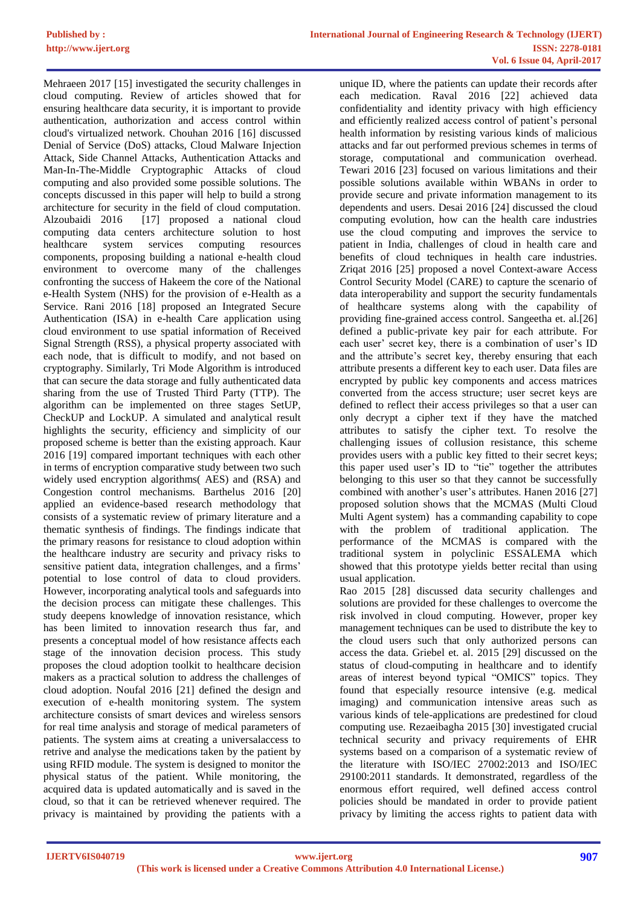Mehraeen 2017 [15] investigated the security challenges in cloud computing. Review of articles showed that for ensuring healthcare data security, it is important to provide authentication, authorization and access control within cloud's virtualized network. Chouhan 2016 [16] discussed Denial of Service (DoS) attacks, Cloud Malware Injection Attack, Side Channel Attacks, Authentication Attacks and Man-In-The-Middle Cryptographic Attacks of cloud computing and also provided some possible solutions. The concepts discussed in this paper will help to build a strong architecture for security in the field of cloud computation. Alzoubaidi 2016 [17] proposed a national cloud computing data centers architecture solution to host healthcare system services computing resources components, proposing building a national e-health cloud environment to overcome many of the challenges confronting the success of Hakeem the core of the National e-Health System (NHS) for the provision of e-Health as a Service. Rani 2016 [18] proposed an Integrated Secure Authentication (ISA) in e-health Care application using cloud environment to use spatial information of Received Signal Strength (RSS), a physical property associated with each node, that is difficult to modify, and not based on cryptography. Similarly, Tri Mode Algorithm is introduced that can secure the data storage and fully authenticated data sharing from the use of Trusted Third Party (TTP). The algorithm can be implemented on three stages SetUP, CheckUP and LockUP. A simulated and analytical result highlights the security, efficiency and simplicity of our proposed scheme is better than the existing approach. Kaur 2016 [19] compared important techniques with each other in terms of encryption comparative study between two such widely used encryption algorithms( AES) and (RSA) and Congestion control mechanisms*.* Barthelus 2016 [20] applied an evidence-based research methodology that consists of a systematic review of primary literature and a thematic synthesis of findings. The findings indicate that the primary reasons for resistance to cloud adoption within the healthcare industry are security and privacy risks to sensitive patient data, integration challenges, and a firms' potential to lose control of data to cloud providers. However, incorporating analytical tools and safeguards into the decision process can mitigate these challenges. This study deepens knowledge of innovation resistance, which has been limited to innovation research thus far, and presents a conceptual model of how resistance affects each stage of the innovation decision process. This study proposes the cloud adoption toolkit to healthcare decision makers as a practical solution to address the challenges of cloud adoption. Noufal 2016 [21] defined the design and execution of e-health monitoring system. The system architecture consists of smart devices and wireless sensors for real time analysis and storage of medical parameters of patients. The system aims at creating a universalaccess to retrive and analyse the medications taken by the patient by using RFID module. The system is designed to monitor the physical status of the patient. While monitoring, the acquired data is updated automatically and is saved in the cloud, so that it can be retrieved whenever required. The privacy is maintained by providing the patients with a

unique ID, where the patients can update their records after each medication. Raval 2016 [22] achieved data confidentiality and identity privacy with high efficiency and efficiently realized access control of patient's personal health information by resisting various kinds of malicious attacks and far out performed previous schemes in terms of storage, computational and communication overhead. Tewari 2016 [23] focused on various limitations and their possible solutions available within WBANs in order to provide secure and private information management to its dependents and users. Desai 2016 [24] discussed the cloud computing evolution, how can the health care industries use the cloud computing and improves the service to patient in India, challenges of cloud in health care and benefits of cloud techniques in health care industries. Zriqat 2016 [25] proposed a novel Context-aware Access Control Security Model (CARE) to capture the scenario of data interoperability and support the security fundamentals of healthcare systems along with the capability of providing fine-grained access control. Sangeetha et. al.[26] defined a public-private key pair for each attribute. For each user' secret key, there is a combination of user's ID and the attribute's secret key, thereby ensuring that each attribute presents a different key to each user. Data files are encrypted by public key components and access matrices converted from the access structure; user secret keys are defined to reflect their access privileges so that a user can only decrypt a cipher text if they have the matched attributes to satisfy the cipher text. To resolve the challenging issues of collusion resistance, this scheme provides users with a public key fitted to their secret keys; this paper used user's ID to "tie" together the attributes belonging to this user so that they cannot be successfully combined with another's user's attributes. Hanen 2016 [27] proposed solution shows that the MCMAS (Multi Cloud Multi Agent system) has a commanding capability to cope with the problem of traditional application. The performance of the MCMAS is compared with the traditional system in polyclinic ESSALEMA which showed that this prototype yields better recital than using usual application.

Rao 2015 [28] discussed data security challenges and solutions are provided for these challenges to overcome the risk involved in cloud computing. However, proper key management techniques can be used to distribute the key to the cloud users such that only authorized persons can access the data. Griebel et. al. 2015 [29] discussed on the status of cloud-computing in healthcare and to identify areas of interest beyond typical "OMICS" topics. They found that especially resource intensive (e.g. medical imaging) and communication intensive areas such as various kinds of tele-applications are predestined for cloud computing use. Rezaeibagha 2015 [30] investigated crucial technical security and privacy requirements of EHR systems based on a comparison of a systematic review of the literature with ISO/IEC 27002:2013 and ISO/IEC 29100:2011 standards. It demonstrated, regardless of the enormous effort required, well defined access control policies should be mandated in order to provide patient privacy by limiting the access rights to patient data with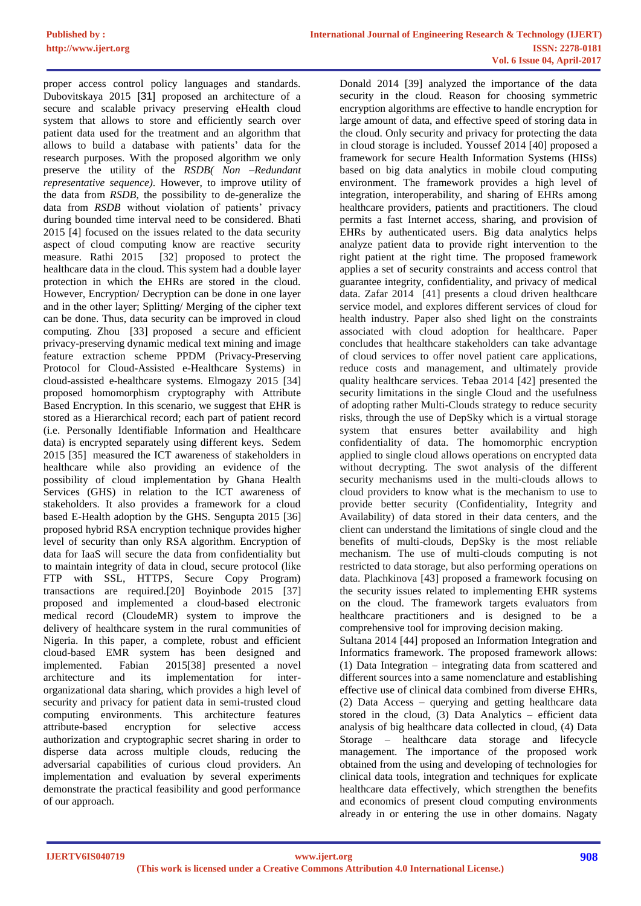proper access control policy languages and standards. Dubovitskaya 2015 [31] proposed an architecture of a secure and scalable privacy preserving eHealth cloud system that allows to store and efficiently search over patient data used for the treatment and an algorithm that allows to build a database with patients' data for the research purposes. With the proposed algorithm we only preserve the utility of the *RSDB( Non –Redundant representative sequence)*. However, to improve utility of the data from *RSDB*, the possibility to de-generalize the data from *RSDB* without violation of patients' privacy during bounded time interval need to be considered. Bhati 2015 [4] focused on the issues related to the data security aspect of cloud computing know are reactive security measure. Rathi 2015 [32] proposed to protect the healthcare data in the cloud. This system had a double layer protection in which the EHRs are stored in the cloud. However, Encryption/ Decryption can be done in one layer and in the other layer; Splitting/ Merging of the cipher text can be done. Thus, data security can be improved in cloud computing. Zhou [33] proposed a secure and efficient privacy-preserving dynamic medical text mining and image feature extraction scheme PPDM (Privacy-Preserving Protocol for Cloud-Assisted e-Healthcare Systems) in cloud-assisted e-healthcare systems. Elmogazy 2015 [34] proposed homomorphism cryptography with Attribute Based Encryption. In this scenario, we suggest that EHR is stored as a Hierarchical record; each part of patient record (i.e. Personally Identifiable Information and Healthcare data) is encrypted separately using different keys. Sedem 2015 [35] measured the ICT awareness of stakeholders in healthcare while also providing an evidence of the possibility of cloud implementation by Ghana Health Services (GHS) in relation to the ICT awareness of stakeholders. It also provides a framework for a cloud based E-Health adoption by the GHS. Sengupta 2015 [36] proposed hybrid RSA encryption technique provides higher level of security than only RSA algorithm. Encryption of data for IaaS will secure the data from confidentiality but to maintain integrity of data in cloud, secure protocol (like FTP with SSL, HTTPS, Secure Copy Program) transactions are required.[20] Boyinbode 2015 [37] proposed and implemented a cloud-based electronic medical record (CloudeMR) system to improve the delivery of healthcare system in the rural communities of Nigeria. In this paper, a complete, robust and efficient cloud-based EMR system has been designed and implemented. Fabian 2015[38] presented a novel architecture and its implementation for interorganizational data sharing, which provides a high level of security and privacy for patient data in semi-trusted cloud computing environments. This architecture features attribute-based encryption for selective access authorization and cryptographic secret sharing in order to disperse data across multiple clouds, reducing the adversarial capabilities of curious cloud providers. An implementation and evaluation by several experiments demonstrate the practical feasibility and good performance of our approach.

Donald 2014 [39] analyzed the importance of the data security in the cloud. Reason for choosing symmetric encryption algorithms are effective to handle encryption for large amount of data, and effective speed of storing data in the cloud. Only security and privacy for protecting the data in cloud storage is included. Youssef 2014 [40] proposed a framework for secure Health Information Systems (HISs) based on big data analytics in mobile cloud computing environment. The framework provides a high level of integration, interoperability, and sharing of EHRs among healthcare providers, patients and practitioners. The cloud permits a fast Internet access, sharing, and provision of EHRs by authenticated users. Big data analytics helps analyze patient data to provide right intervention to the right patient at the right time. The proposed framework applies a set of security constraints and access control that guarantee integrity, confidentiality, and privacy of medical data. Zafar 2014 [41] presents a cloud driven healthcare service model, and explores different services of cloud for health industry. Paper also shed light on the constraints associated with cloud adoption for healthcare. Paper concludes that healthcare stakeholders can take advantage of cloud services to offer novel patient care applications, reduce costs and management, and ultimately provide quality healthcare services. Tebaa 2014 [42] presented the security limitations in the single Cloud and the usefulness of adopting rather Multi-Clouds strategy to reduce security risks, through the use of DepSky which is a virtual storage system that ensures better availability and high confidentiality of data. The homomorphic encryption applied to single cloud allows operations on encrypted data without decrypting. The swot analysis of the different security mechanisms used in the multi-clouds allows to cloud providers to know what is the mechanism to use to provide better security (Confidentiality, Integrity and Availability) of data stored in their data centers, and the client can understand the limitations of single cloud and the benefits of multi-clouds, DepSky is the most reliable mechanism. The use of multi-clouds computing is not restricted to data storage, but also performing operations on data. Plachkinova [43] proposed a framework focusing on the security issues related to implementing EHR systems on the cloud. The framework targets evaluators from healthcare practitioners and is designed to be a comprehensive tool for improving decision making. Sultana 2014 [44] proposed an Information Integration and Informatics framework. The proposed framework allows: (1) Data Integration – integrating data from scattered and different sources into a same nomenclature and establishing effective use of clinical data combined from diverse EHRs, (2) Data Access – querying and getting healthcare data stored in the cloud,  $(3)$  Data Analytics – efficient data

analysis of big healthcare data collected in cloud, (4) Data Storage – healthcare data storage and lifecycle management. The importance of the proposed work obtained from the using and developing of technologies for clinical data tools, integration and techniques for explicate healthcare data effectively, which strengthen the benefits and economics of present cloud computing environments already in or entering the use in other domains. Nagaty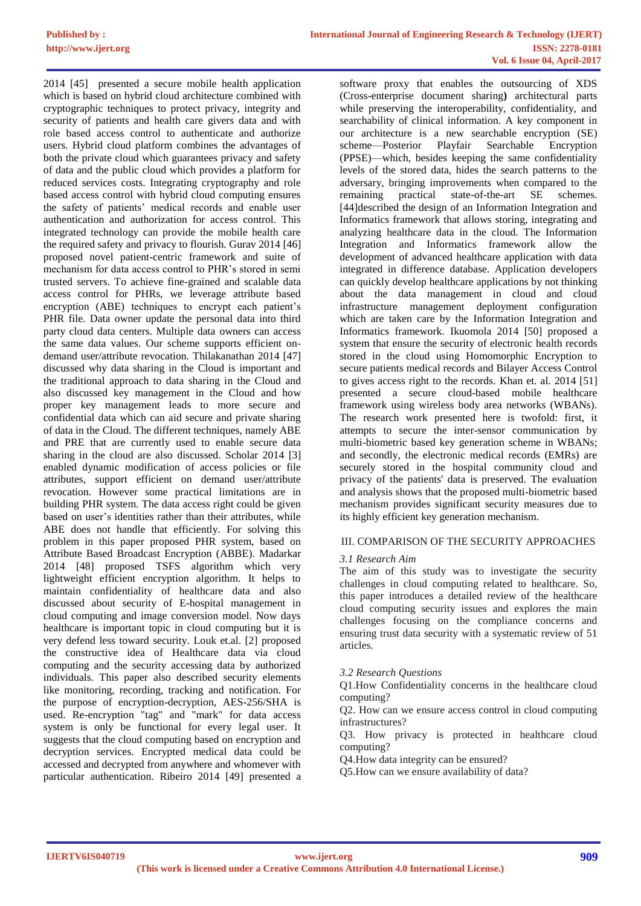2014 [45] presented a secure mobile health application which is based on hybrid cloud architecture combined with cryptographic techniques to protect privacy, integrity and security of patients and health care givers data and with role based access control to authenticate and authorize users. Hybrid cloud platform combines the advantages of both the private cloud which guarantees privacy and safety of data and the public cloud which provides a platform for reduced services costs. Integrating cryptography and role based access control with hybrid cloud computing ensures the safety of patients' medical records and enable user authentication and authorization for access control. This integrated technology can provide the mobile health care the required safety and privacy to flourish. Gurav 2014 [46] proposed novel patient-centric framework and suite of mechanism for data access control to PHR's stored in semi trusted servers. To achieve fine-grained and scalable data access control for PHRs, we leverage attribute based encryption (ABE) techniques to encrypt each patient's PHR file. Data owner update the personal data into third party cloud data centers. Multiple data owners can access the same data values. Our scheme supports efficient ondemand user/attribute revocation. Thilakanathan 2014 [47] discussed why data sharing in the Cloud is important and the traditional approach to data sharing in the Cloud and also discussed key management in the Cloud and how proper key management leads to more secure and confidential data which can aid secure and private sharing of data in the Cloud. The different techniques, namely ABE and PRE that are currently used to enable secure data sharing in the cloud are also discussed. Scholar 2014 [3] enabled dynamic modification of access policies or file attributes, support efficient on demand user/attribute revocation. However some practical limitations are in building PHR system. The data access right could be given based on user's identities rather than their attributes, while ABE does not handle that efficiently. For solving this problem in this paper proposed PHR system, based on Attribute Based Broadcast Encryption (ABBE). Madarkar 2014 [48] proposed TSFS algorithm which very lightweight efficient encryption algorithm. It helps to maintain confidentiality of healthcare data and also discussed about security of E-hospital management in cloud computing and image conversion model. Now days healthcare is important topic in cloud computing but it is very defend less toward security. Louk et.al. [2] proposed the constructive idea of Healthcare data via cloud computing and the security accessing data by authorized individuals. This paper also described security elements like monitoring, recording, tracking and notification. For the purpose of encryption-decryption, AES-256/SHA is used. Re-encryption "tag" and "mark" for data access system is only be functional for every legal user. It suggests that the cloud computing based on encryption and decryption services. Encrypted medical data could be accessed and decrypted from anywhere and whomever with particular authentication. Ribeiro 2014 [49] presented a

software proxy that enables the outsourcing of XDS (Cross-enterprise document sharing**)** architectural parts while preserving the interoperability, confidentiality, and searchability of clinical information. A key component in our architecture is a new searchable encryption (SE) scheme—Posterior Playfair Searchable Encryption (PPSE)—which, besides keeping the same confidentiality levels of the stored data, hides the search patterns to the adversary, bringing improvements when compared to the remaining practical state-of-the-art SE schemes. [44]described the design of an Information Integration and Informatics framework that allows storing, integrating and analyzing healthcare data in the cloud. The Information Integration and Informatics framework allow the development of advanced healthcare application with data integrated in difference database. Application developers can quickly develop healthcare applications by not thinking about the data management in cloud and cloud infrastructure management deployment configuration which are taken care by the Information Integration and Informatics framework. Ikuomola 2014 [50] proposed a system that ensure the security of electronic health records stored in the cloud using Homomorphic Encryption to secure patients medical records and Bilayer Access Control to gives access right to the records. Khan et. al. 2014 [51] presented a secure cloud-based mobile healthcare framework using wireless body area networks (WBANs). The research work presented here is twofold: first, it attempts to secure the inter-sensor communication by multi-biometric based key generation scheme in WBANs; and secondly, the electronic medical records (EMRs) are securely stored in the hospital community cloud and privacy of the patients' data is preserved. The evaluation and analysis shows that the proposed multi-biometric based mechanism provides significant security measures due to its highly efficient key generation mechanism.

## III. COMPARISON OF THE SECURITY APPROACHES

#### *3.1 Research Aim*

The aim of this study was to investigate the security challenges in cloud computing related to healthcare. So, this paper introduces a detailed review of the healthcare cloud computing security issues and explores the main challenges focusing on the compliance concerns and ensuring trust data security with a systematic review of 51 articles.

#### *3.2 Research Questions*

Q1.How Confidentiality concerns in the healthcare cloud computing?

Q2. How can we ensure access control in cloud computing infrastructures?

Q3. How privacy is protected in healthcare cloud computing?

Q4.How data integrity can be ensured?

Q5.How can we ensure availability of data?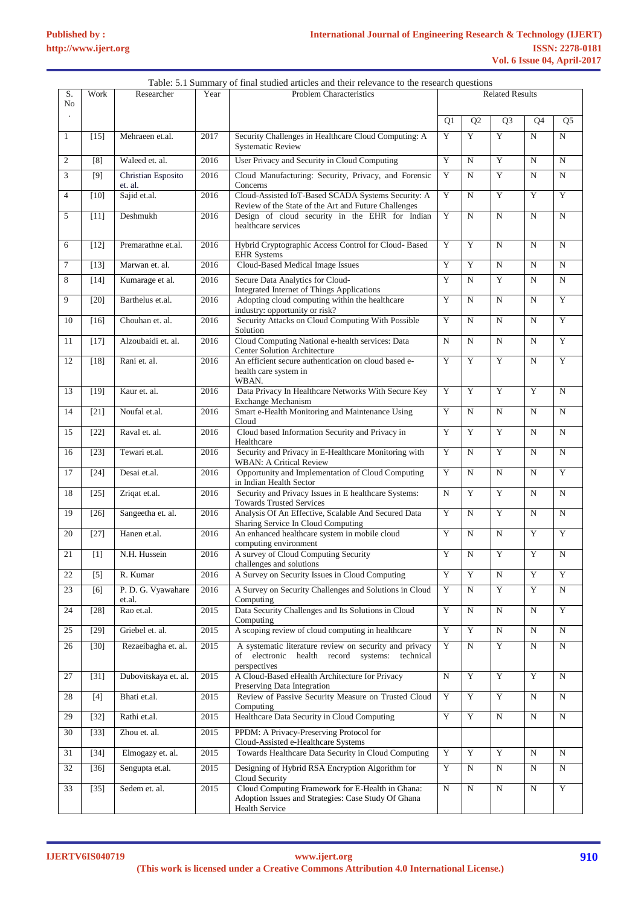|                      |        |                               |      | Table: 5.1 Summary of final studied articles and their relevance to the research questions                                       |                        |                |                |                |                         |
|----------------------|--------|-------------------------------|------|----------------------------------------------------------------------------------------------------------------------------------|------------------------|----------------|----------------|----------------|-------------------------|
| S.<br>N <sub>o</sub> | Work   | Researcher                    | Year | <b>Problem Characteristics</b>                                                                                                   | <b>Related Results</b> |                |                |                |                         |
|                      |        |                               |      |                                                                                                                                  | Q1                     | Q2             | Q <sub>3</sub> | Q4             | Q <sub>5</sub>          |
| $\mathbf{1}$         | $[15]$ | Mehraeen et.al.               | 2017 | Security Challenges in Healthcare Cloud Computing: A<br><b>Systematic Review</b>                                                 | Y                      | Y              | Y              | $\mathbf N$    | N                       |
| $\overline{c}$       | [8]    | Waleed et. al.                | 2016 | User Privacy and Security in Cloud Computing                                                                                     | Y                      | $\mathbf N$    | Y              | N              | $\mathbf N$             |
| 3                    | [9]    | Christian Esposito<br>et. al. | 2016 | Cloud Manufacturing: Security, Privacy, and Forensic<br>Concerns                                                                 | $\mathbf Y$            | N              | Y              | $\mathbf N$    | N                       |
| $\overline{4}$       | $[10]$ | Sajid et.al.                  | 2016 | Cloud-Assisted IoT-Based SCADA Systems Security: A<br>Review of the State of the Art and Future Challenges                       | Y                      | $\mathbf N$    | Y              | Y              | Y                       |
| 5                    | $[11]$ | Deshmukh                      | 2016 | Design of cloud security in the EHR for Indian<br>healthcare services                                                            | Y                      | $\mathbf N$    | $\mathbf N$    | $\mathbf N$    | $\mathbf N$             |
| 6                    | $[12]$ | Premarathne et.al.            | 2016 | Hybrid Cryptographic Access Control for Cloud- Based<br><b>EHR</b> Systems                                                       | Y                      | Y              | $\mathbf N$    | $\mathbf N$    | $\mathbf N$             |
| $\tau$               | $[13]$ | Marwan et. al.                | 2016 | Cloud-Based Medical Image Issues                                                                                                 | Y                      | Y              | $\mathbf N$    | $\mathbf N$    | $\mathbf N$             |
| 8                    | $[14]$ | Kumarage et al.               | 2016 | Secure Data Analytics for Cloud-<br>Integrated Internet of Things Applications                                                   | Y                      | $\mathbf N$    | Y              | $\mathbf N$    | N                       |
| 9                    | $[20]$ | Barthelus et.al.              | 2016 | Adopting cloud computing within the healthcare<br>industry: opportunity or risk?                                                 | Y                      | $\mathbf N$    | $\mathbf N$    | $\mathbf N$    | Y                       |
| 10                   | $[16]$ | Chouhan et. al.               | 2016 | Security Attacks on Cloud Computing With Possible<br>Solution                                                                    | Y                      | N              | $\mathbf N$    | $\mathbf N$    | Y                       |
| 11                   | $[17]$ | Alzoubaidi et. al.            | 2016 | Cloud Computing National e-health services: Data<br>Center Solution Architecture                                                 | $\mathbf N$            | $\mathbf N$    | $\mathbf N$    | $\mathbf N$    | Y                       |
| 12                   | $[18]$ | Rani et. al.                  | 2016 | An efficient secure authentication on cloud based e-<br>health care system in<br>WBAN.                                           | Y                      | Y              | Y              | $\mathbf N$    | Y                       |
| 13                   | $[19]$ | Kaur et. al.                  | 2016 | Data Privacy In Healthcare Networks With Secure Key<br><b>Exchange Mechanism</b>                                                 | Y                      | Y              | Y              | Y              | N                       |
| 14                   | $[21]$ | Noufal et.al.                 | 2016 | Smart e-Health Monitoring and Maintenance Using<br>Cloud                                                                         | Y                      | $\mathbf N$    | $\mathbf N$    | $\mathbf N$    | $\mathbf N$             |
| 15                   | $[22]$ | Raval et. al.                 | 2016 | Cloud based Information Security and Privacy in<br>Healthcare                                                                    | Y                      | Y              | Y              | N              | $\mathbf N$             |
| 16                   | $[23]$ | Tewari et.al.                 | 2016 | Security and Privacy in E-Healthcare Monitoring with<br><b>WBAN: A Critical Review</b>                                           | Y                      | $\mathbf N$    | Y              | N              | $\overline{N}$          |
| 17                   | $[24]$ | Desai et.al.                  | 2016 | Opportunity and Implementation of Cloud Computing<br>in Indian Health Sector                                                     | Y                      | $\mathbf N$    | $\mathbf N$    | $\mathbf N$    | Y                       |
| 18                   | $[25]$ | Zriqat et.al.                 | 2016 | Security and Privacy Issues in E healthcare Systems:<br><b>Towards Trusted Services</b>                                          | $\mathbf N$            | Y              | Y              | $\mathbf N$    | $\mathbf N$             |
| 19                   | $[26]$ | Sangeetha et. al.             | 2016 | Analysis Of An Effective, Scalable And Secured Data<br>Sharing Service In Cloud Computing                                        | Y                      | $\mathbf N$    | Y              | $\mathbf N$    | N                       |
| 20                   | $[27]$ | Hanen et.al.                  | 2016 | An enhanced healthcare system in mobile cloud<br>computing environment                                                           | Y                      | $\mathbf N$    | $\mathbf N$    | Y              | Y                       |
| 21                   | $[1]$  | N.H. Hussein                  | 2016 | A survey of Cloud Computing Security<br>challenges and solutions                                                                 | Y                      | $\mathbf N$    | Y              | Y              | ${\bf N}$               |
| 22                   | $[5]$  | R. Kumar                      | 2016 | A Survey on Security Issues in Cloud Computing                                                                                   | Y                      | Y              | $\mathbf N$    | Y              | Y                       |
| 23                   | [6]    | P. D. G. Vyawahare<br>et.al.  | 2016 | A Survey on Security Challenges and Solutions in Cloud<br>Computing                                                              | $\mathbf Y$            | $\mathbf N$    | Y              | Y              | N                       |
| 24                   | $[28]$ | Rao et.al.                    | 2015 | Data Security Challenges and Its Solutions in Cloud<br>Computing                                                                 | Y                      | $\mathbf N$    | $\mathbf N$    | $\mathbf N$    | $\overline{\mathbf{Y}}$ |
| 25                   | $[29]$ | Griebel et. al.               | 2015 | A scoping review of cloud computing in healthcare                                                                                | Y                      | Y              | $\overline{N}$ | $\overline{N}$ | $\overline{N}$          |
| 26                   | $[30]$ | Rezaeibagha et. al.           | 2015 | A systematic literature review on security and privacy<br>of electronic health record systems: technical<br>perspectives         | $\mathbf Y$            | $\mathbf N$    | $\mathbf Y$    | $\mathbf N$    | N                       |
| 27                   | $[31]$ | Dubovitskaya et. al.          | 2015 | A Cloud-Based eHealth Architecture for Privacy<br>Preserving Data Integration                                                    | N                      | Y              | Y              | Y              | N                       |
| 28                   | $[4]$  | Bhati et.al.                  | 2015 | Review of Passive Security Measure on Trusted Cloud<br>Computing                                                                 | Y                      | $\overline{Y}$ | Y              | $_{\rm N}$     | N                       |
| 29                   | $[32]$ | Rathi et.al.                  | 2015 | Healthcare Data Security in Cloud Computing                                                                                      | Y                      | Y              | $\mathbf N$    | $\mathbf N$    | N                       |
| 30                   | $[33]$ | Zhou et. al.                  | 2015 | PPDM: A Privacy-Preserving Protocol for<br>Cloud-Assisted e-Healthcare Systems                                                   |                        |                |                |                |                         |
| 31                   | $[34]$ | Elmogazy et. al.              | 2015 | Towards Healthcare Data Security in Cloud Computing                                                                              | Y                      | Y              | Y              | $\mathbf N$    | $_{\rm N}$              |
| 32                   | $[36]$ | Sengupta et.al.               | 2015 | Designing of Hybrid RSA Encryption Algorithm for<br>Cloud Security                                                               | $\mathbf Y$            | $\mathbf N$    | N              | N              | $\mathbf N$             |
| 33                   | $[35]$ | Sedem et. al.                 | 2015 | Cloud Computing Framework for E-Health in Ghana:<br>Adoption Issues and Strategies: Case Study Of Ghana<br><b>Health Service</b> | N                      | ${\bf N}$      | ${\bf N}$      | $_{\rm N}$     | $\mathbf Y$             |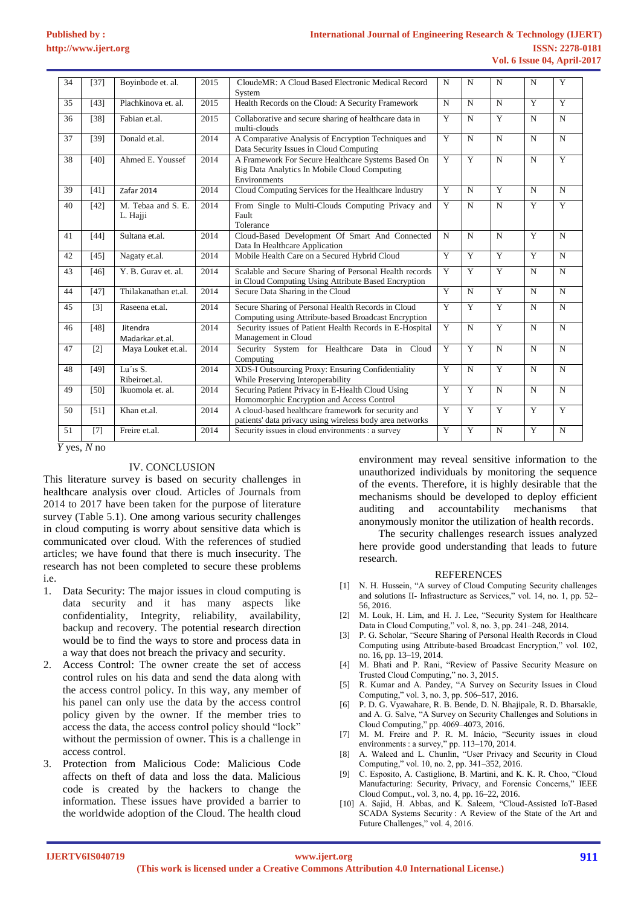| 34 | [37]              | Boyinbode et. al.                       | 2015 | CloudeMR: A Cloud Based Electronic Medical Record<br>System                                                        | $\mathbf N$    | N           | N              | N              | Y              |
|----|-------------------|-----------------------------------------|------|--------------------------------------------------------------------------------------------------------------------|----------------|-------------|----------------|----------------|----------------|
| 35 | [43]              | Plachkinova et. al.                     | 2015 | Health Records on the Cloud: A Security Framework                                                                  | $\mathbf N$    | N           | $\mathbf N$    | Y              | $\overline{Y}$ |
| 36 | [38]              | Fabian et.al.                           | 2015 | Collaborative and secure sharing of healthcare data in<br>multi-clouds                                             | Y              | N           | Y              | N              | $\mathbf N$    |
| 37 | [39]              | Donald et.al.                           | 2014 | A Comparative Analysis of Encryption Techniques and<br>Data Security Issues in Cloud Computing                     | Y              | N           | $\mathbf N$    | N              | N              |
| 38 | [40]              | Ahmed E. Youssef                        | 2014 | A Framework For Secure Healthcare Systems Based On<br>Big Data Analytics In Mobile Cloud Computing<br>Environments | Y              | Y           | $\mathbf N$    | $\mathbf N$    | Y              |
| 39 | [41]              | Zafar 2014                              | 2014 | Cloud Computing Services for the Healthcare Industry                                                               | Y              | N           | Y              | N              | $\mathbf N$    |
| 40 | $[42]$            | M. Tebaa and S. E.<br>L. Hajji          | 2014 | From Single to Multi-Clouds Computing Privacy and<br>Fault<br>Tolerance                                            | Y              | N           | $\overline{N}$ | $\overline{Y}$ | $\overline{Y}$ |
| 41 | $[44]$            | Sultana et.al.                          | 2014 | Cloud-Based Development Of Smart And Connected<br>Data In Healthcare Application                                   | $\mathbf N$    | N           | $\mathbf N$    | $\overline{Y}$ | $\mathbf N$    |
| 42 | $[45]$            | Nagaty et.al.                           | 2014 | Mobile Health Care on a Secured Hybrid Cloud                                                                       | Y              | Y           | $\overline{Y}$ | $\overline{Y}$ | $\mathbf N$    |
| 43 | $[46]$            | Y. B. Gurav et. al.                     | 2014 | Scalable and Secure Sharing of Personal Health records<br>in Cloud Computing Using Attribute Based Encryption      | Y              | Y           | Y              | N              | $\mathbf N$    |
| 44 | $[47]$            | Thilakanathan et.al.                    | 2014 | Secure Data Sharing in the Cloud                                                                                   | Y              | N           | $\overline{Y}$ | N              | $\mathbf N$    |
| 45 | $\lceil 3 \rceil$ | Raseena et.al.                          | 2014 | Secure Sharing of Personal Health Records in Cloud<br>Computing using Attribute-based Broadcast Encryption         | Y              | Y           | Y              | $\mathbf N$    | $\mathbf N$    |
| 46 | [48]              | Jitendra<br>Madarkar.et.al.             | 2014 | Security issues of Patient Health Records in E-Hospital<br>Management in Cloud                                     | Y              | N           | $\overline{Y}$ | N              | $\mathbf N$    |
| 47 | [2]               | Maya Louket et.al.                      | 2014 | Security System for Healthcare Data in Cloud<br>Computing                                                          | Y              | Y           | $\mathbf N$    | N              | $\mathbf N$    |
| 48 | [49]              | Lu'is $\overline{S}$ .<br>Ribeiroet.al. | 2014 | XDS-I Outsourcing Proxy: Ensuring Confidentiality<br>While Preserving Interoperability                             | $\overline{Y}$ | $\mathbf N$ | $\overline{Y}$ | $\mathbf N$    | $\mathbf N$    |
| 49 | [50]              | Ikuomola et. al.                        | 2014 | Securing Patient Privacy in E-Health Cloud Using<br>Homomorphic Encryption and Access Control                      | Y              | Y           | $\mathbf N$    | N              | $\mathbf N$    |
| 50 | [51]              | Khan et.al.                             | 2014 | A cloud-based healthcare framework for security and<br>patients' data privacy using wireless body area networks    | Y              | Y           | $\overline{Y}$ | Y              | Y              |
| 51 | $[7]$             | Freire et.al.                           | 2014 | Security issues in cloud environments : a survey                                                                   | Y              | Y           | N              | $\overline{Y}$ | N              |

 *Y* yes, *N* no

## IV. CONCLUSION

This literature survey is based on security challenges in healthcare analysis over cloud. Articles of Journals from 2014 to 2017 have been taken for the purpose of literature survey (Table 5.1). One among various security challenges in cloud computing is worry about sensitive data which is communicated over cloud. With the references of studied articles; we have found that there is much insecurity. The research has not been completed to secure these problems i.e.

- 1. Data Security: The major issues in cloud computing is data security and it has many aspects like confidentiality, Integrity, reliability, availability, backup and recovery. The potential research direction would be to find the ways to store and process data in a way that does not breach the privacy and security.
- 2. Access Control: The owner create the set of access control rules on his data and send the data along with the access control policy. In this way, any member of his panel can only use the data by the access control policy given by the owner. If the member tries to access the data, the access control policy should "lock" without the permission of owner. This is a challenge in access control.
- 3. Protection from Malicious Code: Malicious Code affects on theft of data and loss the data. Malicious code is created by the hackers to change the information. These issues have provided a barrier to the worldwide adoption of the Cloud. The health cloud

environment may reveal sensitive information to the unauthorized individuals by monitoring the sequence of the events. Therefore, it is highly desirable that the mechanisms should be developed to deploy efficient auditing and accountability mechanisms that anonymously monitor the utilization of health records.

The security challenges research issues analyzed here provide good understanding that leads to future research.

#### REFERENCES

- [1] N. H. Hussein, "A survey of Cloud Computing Security challenges and solutions II- Infrastructure as Services," vol. 14, no. 1, pp. 52– 56, 2016.
- [2] M. Louk, H. Lim, and H. J. Lee, "Security System for Healthcare Data in Cloud Computing," vol. 8, no. 3, pp. 241–248, 2014.
- [3] P. G. Scholar, "Secure Sharing of Personal Health Records in Cloud Computing using Attribute-based Broadcast Encryption," vol. 102, no. 16, pp. 13–19, 2014.
- [4] M. Bhati and P. Rani, "Review of Passive Security Measure on Trusted Cloud Computing," no. 3, 2015.
- [5] R. Kumar and A. Pandey, "A Survey on Security Issues in Cloud Computing," vol. 3, no. 3, pp. 506–517, 2016.
- [6] P. D. G. Vyawahare, R. B. Bende, D. N. Bhajipale, R. D. Bharsakle, and A. G. Salve, "A Survey on Security Challenges and Solutions in Cloud Computing," pp. 4069–4073, 2016.
- [7] M. M. Freire and P. R. M. Inácio, "Security issues in cloud environments : a survey," pp. 113–170, 2014.
- [8] A. Waleed and L. Chunlin, "User Privacy and Security in Cloud Computing," vol. 10, no. 2, pp. 341–352, 2016.
- [9] C. Esposito, A. Castiglione, B. Martini, and K. K. R. Choo, "Cloud Manufacturing: Security, Privacy, and Forensic Concerns," IEEE Cloud Comput., vol. 3, no. 4, pp. 16–22, 2016.
- [10] A. Sajid, H. Abbas, and K. Saleem, "Cloud-Assisted IoT-Based SCADA Systems Security : A Review of the State of the Art and Future Challenges," vol. 4, 2016.